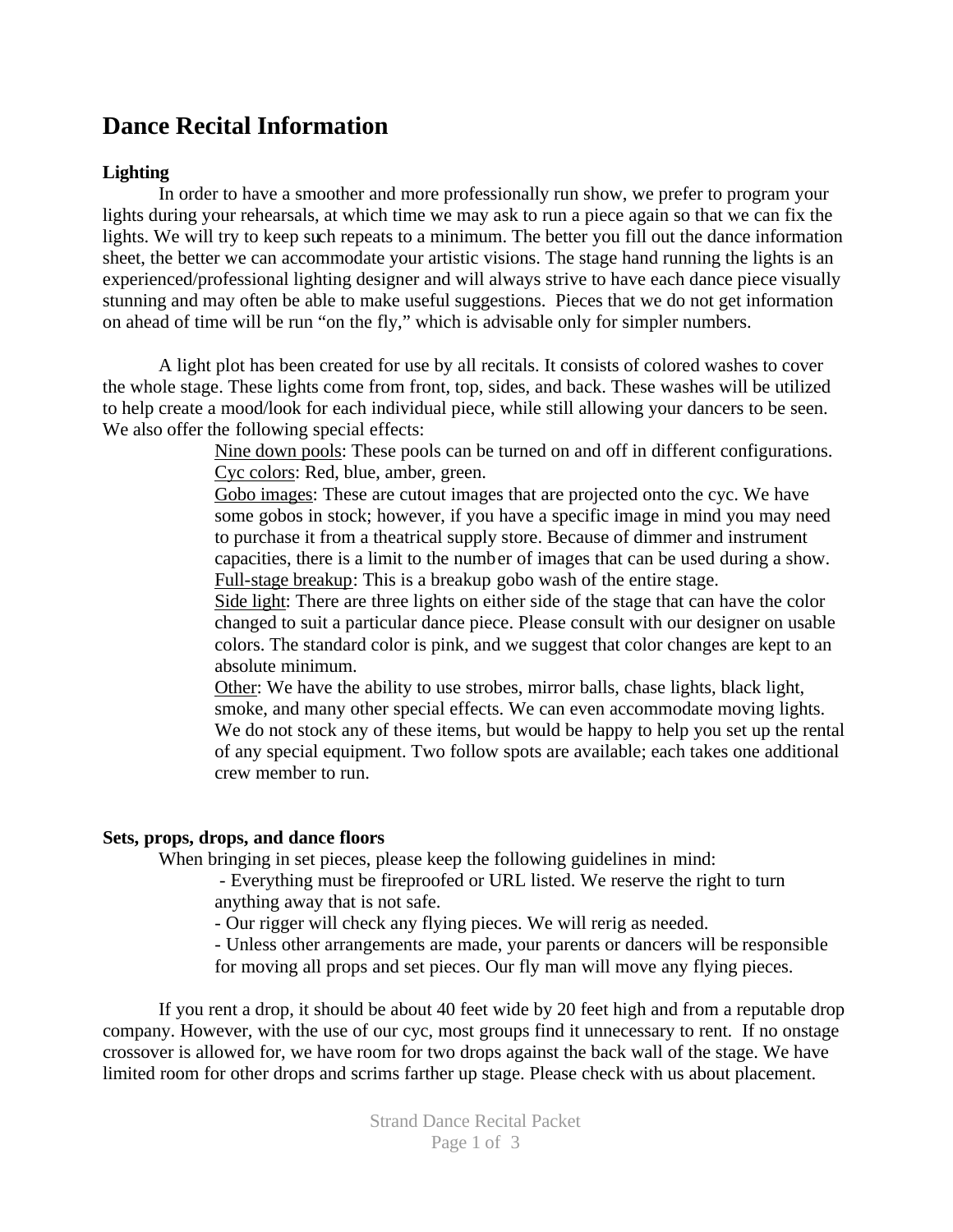# **Dance Recital Information**

# **Lighting**

In order to have a smoother and more professionally run show, we prefer to program your lights during your rehearsals, at which time we may ask to run a piece again so that we can fix the lights. We will try to keep such repeats to a minimum. The better you fill out the dance information sheet, the better we can accommodate your artistic visions. The stage hand running the lights is an experienced/professional lighting designer and will always strive to have each dance piece visually stunning and may often be able to make useful suggestions. Pieces that we do not get information on ahead of time will be run "on the fly," which is advisable only for simpler numbers.

A light plot has been created for use by all recitals. It consists of colored washes to cover the whole stage. These lights come from front, top, sides, and back. These washes will be utilized to help create a mood/look for each individual piece, while still allowing your dancers to be seen. We also offer the following special effects:

> Nine down pools: These pools can be turned on and off in different configurations. Cyc colors: Red, blue, amber, green.

> Gobo images: These are cutout images that are projected onto the cyc. We have some gobos in stock; however, if you have a specific image in mind you may need to purchase it from a theatrical supply store. Because of dimmer and instrument capacities, there is a limit to the number of images that can be used during a show. Full-stage breakup: This is a breakup gobo wash of the entire stage.

> Side light: There are three lights on either side of the stage that can have the color changed to suit a particular dance piece. Please consult with our designer on usable colors. The standard color is pink, and we suggest that color changes are kept to an absolute minimum.

Other: We have the ability to use strobes, mirror balls, chase lights, black light, smoke, and many other special effects. We can even accommodate moving lights. We do not stock any of these items, but would be happy to help you set up the rental of any special equipment. Two follow spots are available; each takes one additional crew member to run.

## **Sets, props, drops, and dance floors**

When bringing in set pieces, please keep the following guidelines in mind:

- Everything must be fireproofed or URL listed. We reserve the right to turn anything away that is not safe.

- Our rigger will check any flying pieces. We will rerig as needed.

- Unless other arrangements are made, your parents or dancers will be responsible for moving all props and set pieces. Our fly man will move any flying pieces.

If you rent a drop, it should be about 40 feet wide by 20 feet high and from a reputable drop company. However, with the use of our cyc, most groups find it unnecessary to rent. If no onstage crossover is allowed for, we have room for two drops against the back wall of the stage. We have limited room for other drops and scrims farther up stage. Please check with us about placement.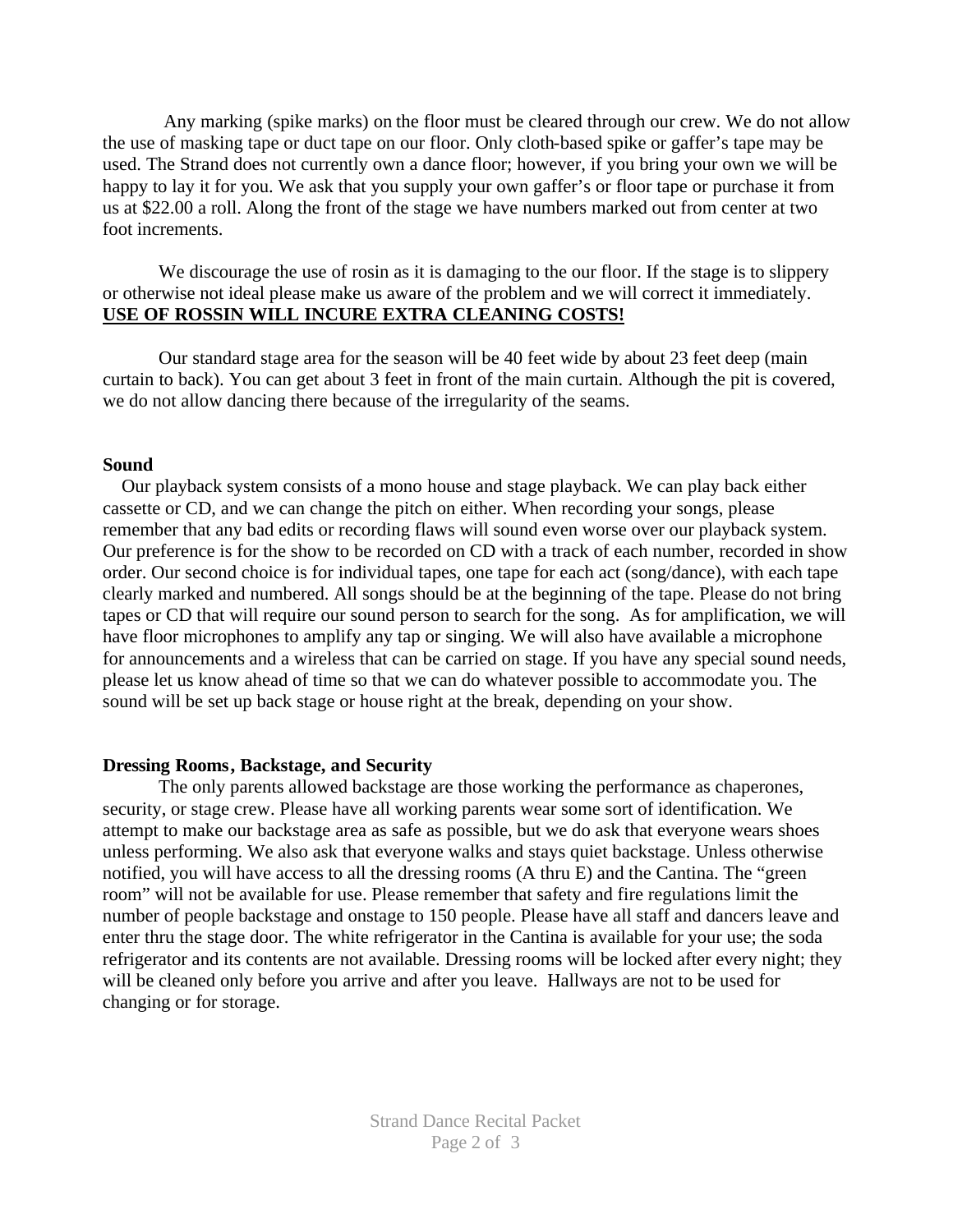Any marking (spike marks) on the floor must be cleared through our crew. We do not allow the use of masking tape or duct tape on our floor. Only cloth-based spike or gaffer's tape may be used. The Strand does not currently own a dance floor; however, if you bring your own we will be happy to lay it for you. We ask that you supply your own gaffer's or floor tape or purchase it from us at \$22.00 a roll. Along the front of the stage we have numbers marked out from center at two foot increments.

We discourage the use of rosin as it is damaging to the our floor. If the stage is to slippery or otherwise not ideal please make us aware of the problem and we will correct it immediately. **USE OF ROSSIN WILL INCURE EXTRA CLEANING COSTS!**

Our standard stage area for the season will be 40 feet wide by about 23 feet deep (main curtain to back). You can get about 3 feet in front of the main curtain. Although the pit is covered, we do not allow dancing there because of the irregularity of the seams.

## **Sound**

 Our playback system consists of a mono house and stage playback. We can play back either cassette or CD, and we can change the pitch on either. When recording your songs, please remember that any bad edits or recording flaws will sound even worse over our playback system. Our preference is for the show to be recorded on CD with a track of each number, recorded in show order. Our second choice is for individual tapes, one tape for each act (song/dance), with each tape clearly marked and numbered. All songs should be at the beginning of the tape. Please do not bring tapes or CD that will require our sound person to search for the song. As for amplification, we will have floor microphones to amplify any tap or singing. We will also have available a microphone for announcements and a wireless that can be carried on stage. If you have any special sound needs, please let us know ahead of time so that we can do whatever possible to accommodate you. The sound will be set up back stage or house right at the break, depending on your show.

## **Dressing Rooms, Backstage, and Security**

The only parents allowed backstage are those working the performance as chaperones, security, or stage crew. Please have all working parents wear some sort of identification. We attempt to make our backstage area as safe as possible, but we do ask that everyone wears shoes unless performing. We also ask that everyone walks and stays quiet backstage. Unless otherwise notified, you will have access to all the dressing rooms (A thru E) and the Cantina. The "green room" will not be available for use. Please remember that safety and fire regulations limit the number of people backstage and onstage to 150 people. Please have all staff and dancers leave and enter thru the stage door. The white refrigerator in the Cantina is available for your use; the soda refrigerator and its contents are not available. Dressing rooms will be locked after every night; they will be cleaned only before you arrive and after you leave. Hallways are not to be used for changing or for storage.